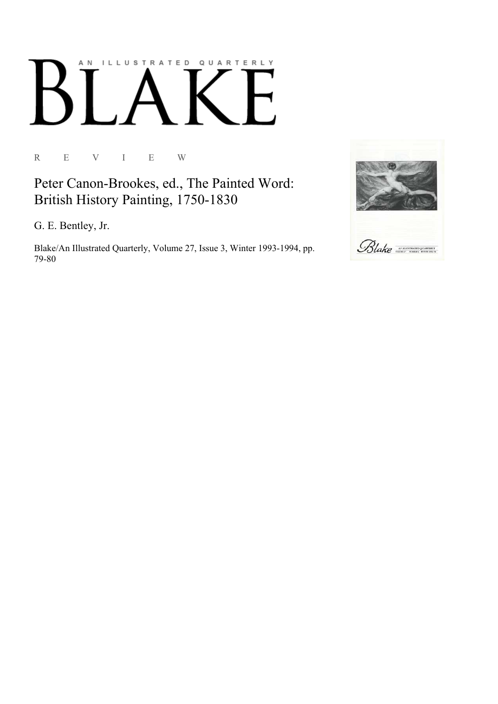## AN ILLUSTRATED QUARTERLY

R E V I E W

Peter Canon-Brookes, ed., The Painted Word: British History Painting, 1750-1830

G. E. Bentley, Jr.

Blake/An Illustrated Quarterly, Volume 27, Issue 3, Winter 1993-1994, pp. 79-80

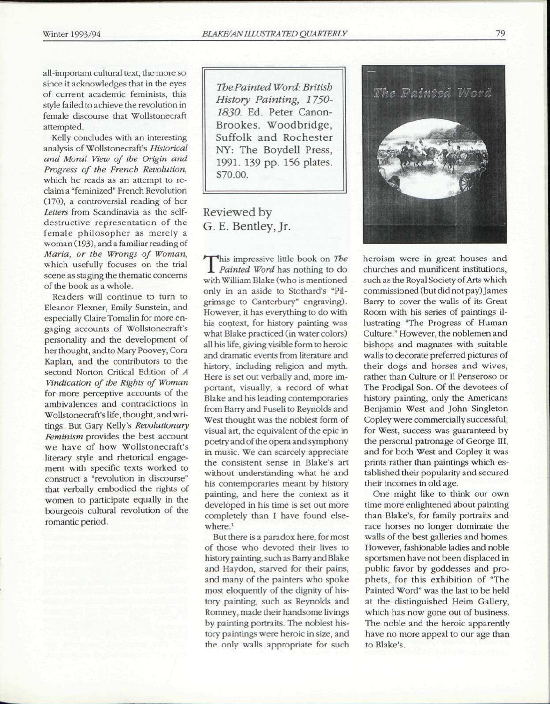all-important cultural text, the more so since it acknowledges that in the eyes of current academic feminists, this style failed to achieve the revolution in female discourse that Wollstonecraft attempted.

Kelly concludes with an interesting analysis of Wollstonecraft's *Historical and Moral View of the Origin and Progress of the French Revolution,*  which he reads as an attempt to reclaim a "feminized" French Revolution (170), a controversial reading of her *Letters* from Scandinavia as the selfdestructive representation of the female philosopher as merely a woman (193), and a familiar reading of *Maria, or the Wrongs of Woman,*  which usefully focuses on the trial scene as staging the thematic concerns of the book as a whole.

Readers will continue to turn to Eleanor Flexner, Emily Sunstein, and especially Claire Tomalin for more engaging accounts of Wollstonecraft's personality and the development of her thought, and to Mary Poovey, Cora Kaplan, and the contributors to the second Norton Critical Edition of *A Vindication of the Rights of Woman*  for more perceptive accounts of the ambivalences and contradictions in Wollstonecraft's life, thought, and writings. But Gary Kelly's *Revolutionary Feminism* provides the best account we have of how Wollstonecraft's literary style and rhetorical engagement with specific texts worked to construct a "revolution in discourse" that verbally embodied the rights of women to participate equally in the bourgeois cultural revolution of the romantic period.

*The Painted Word: British History Painting, 1750- 1830.* Ed. Peter Canon-Brookes. Woodbridge, Suffolk and Rochester NY: The Boydell Press, 1991. 139 pp. 156 plates. \$70.00.

## Reviewed by G. E. Bentley, Jr.

This impressive little book on *The*<br>*Painted Word* has nothing to do *Painted Word* has nothing to do with William Blake (who is mentioned only in an aside to Stothard's "Pilgrimage to Canterbury" engraving). However, it has everything to do with his context, for history painting was what Blake practiced (in water colors) all his life, giving visible form to heroic and dramatic events from literature and history, including religion and myth. Here is set out verbally and, more important, visually, a record of what Blake and his leading contemporaries from Barry and Fuseli to Reynolds and West thought was the noblest form of visual art, the equivalent of the epic in poetry and of the opera and symphony in music. We can scarcely appreciate the consistent sense in Blake's art without understanding what he and his contemporaries meant by history painting, and here the context as it developed in his time is set out more completely than I have found elsewhere.<sup>1</sup>

But there is a paradox here, for most of those who devoted their lives to history painting, such as Barry and Blake and Haydon, starved for their pains, and many of the painters who spoke most eloquently of the dignity of history painting, such as Reynolds and Romney, made their handsome livings by painting portraits. The noblest history paintings were heroic in size, and the only walls appropriate for such



heroism were in great houses and churches and munificent institutions, such as the Royal Society of Arts which commissioned (but did not pay) James Barry to cover the walls of its Great Room with his series of paintings illustrating "The Progress of Human Culture." However, the noblemen and bishops and magnates with suitable walls to decorate preferred pictures of their dogs and horses and wives, rather than Culture or II Penseroso or The Prodigal Son. Of the devotees of history painting, only the Americans Benjamin West and John Singleton Copley were commercially successful; for West, success was guaranteed by the personal patronage of George III, and for both West and Copley it was prints rather than paintings which established their popularity and secured their incomes in old age.

One might like to think our own time more enlightened about painting than Blake's, for family portraits and race horses no longer dominate the walls of the best galleries and homes. However, fashionable ladies and noble sportsmen have not been displaced in public favor by goddesses and prophets, for this exhibition of "The Painted Word" was the last to be held at the distinguished Heim Gallery, which has now gone out of business. The noble and the heroic apparently have no more appeal to our age than to Blake's.